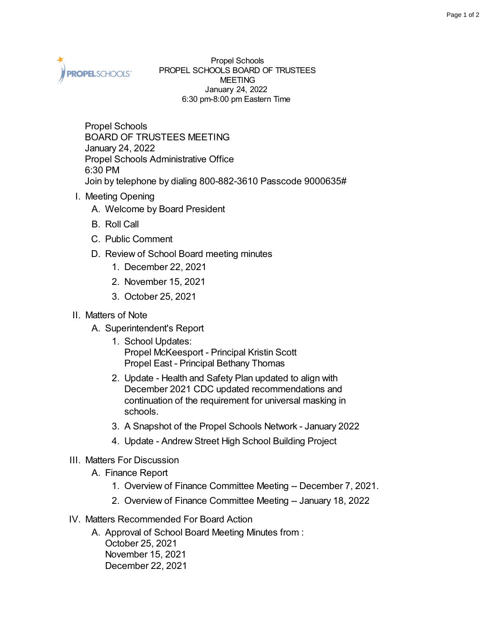

Propel Schools PROPEL SCHOOLS BOARD OF TRUSTEES MEETING January 24, 2022 6:30 pm-8:00 pm Eastern Time

Propel Schools BOARD OF TRUSTEES MEETING January 24, 2022 Propel Schools Administrative Office 6:30 PM Join by telephone by dialing 800-882-3610 Passcode 9000635#

- I. Meeting Opening
	- A. Welcome by Board President
	- B. Roll Call
	- C. Public Comment
	- D. Review of School Board meeting minutes
		- 1. December 22, 2021
		- 2. November 15, 2021
		- 3. October 25, 2021

## II. Matters of Note

- A. Superintendent's Report
	- 1. School Updates: Propel McKeesport - Principal Kristin Scott Propel East - Principal Bethany Thomas
	- 2. Update Health and Safety Plan updated to align with December 2021 CDC updated recommendations and continuation of the requirement for universal masking in schools.
	- 3. A Snapshot of the Propel Schools Network January 2022
	- 4. Update Andrew Street High School Building Project
- III. Matters For Discussion
	- A. Finance Report
		- 1. Overview of Finance Committee Meeting -- December 7, 2021.
		- 2. Overview of Finance Committee Meeting -- January 18, 2022
- IV. Matters Recommended For Board Action
	- A. Approval of School Board Meeting Minutes from : October 25, 2021 November 15, 2021 December 22, 2021